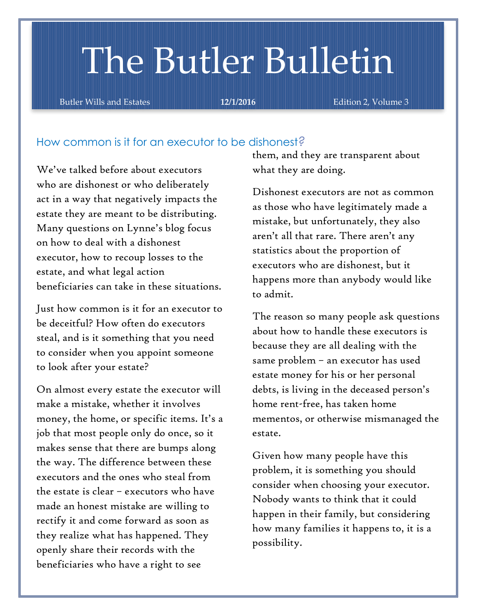# The Butler Bulletin

Butler Wills and Estates **12/1/2016 Edition 2, Volume 3** 

# How common is it for an executor to be dishonest*?*

We've talked before about executors who are dishonest or who deliberately act in a way that negatively impacts the estate they are meant to be distributing. Many questions on Lynne's blog focus on how to deal with a dishonest executor, how to recoup losses to the estate, and what legal action beneficiaries can take in these situations.

Just how common is it for an executor to be deceitful? How often do executors steal, and is it something that you need to consider when you appoint someone to look after your estate?

On almost every estate the executor will make a mistake, whether it involves money, the home, or specific items. It's a job that most people only do once, so it makes sense that there are bumps along the way. The difference between these executors and the ones who steal from the estate is clear – executors who have made an honest mistake are willing to rectify it and come forward as soon as they realize what has happened. They openly share their records with the beneficiaries who have a right to see

them, and they are transparent about what they are doing.

Dishonest executors are not as common as those who have legitimately made a mistake, but unfortunately, they also aren't all that rare. There aren't any statistics about the proportion of executors who are dishonest, but it happens more than anybody would like to admit.

The reason so many people ask questions about how to handle these executors is because they are all dealing with the same problem – an executor has used estate money for his or her personal debts, is living in the deceased person's home rent-free, has taken home mementos, or otherwise mismanaged the estate.

Given how many people have this problem, it is something you should consider when choosing your executor. Nobody wants to think that it could happen in their family, but considering how many families it happens to, it is a possibility.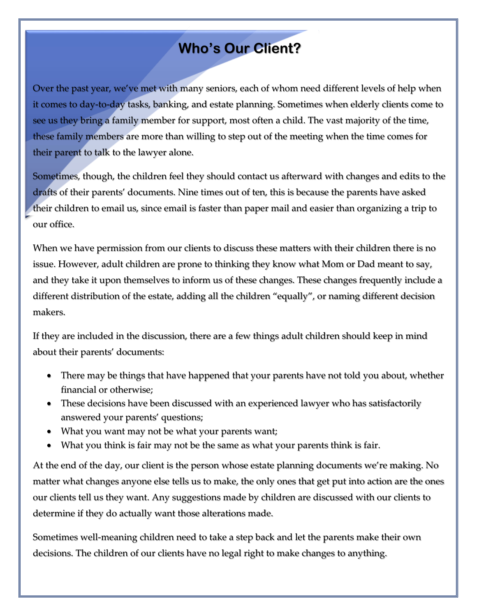# **Who's Our Client?**

Over the past year, we've met with many seniors, each of whom need different levels of help when it comes to day-to-day tasks, banking, and estate planning. Sometimes when elderly clients come to see us they bring a family member for support, most often a child. The vast majority of the time, these family members are more than willing to step out of the meeting when the time comes for their parent to talk to the lawyer alone.

Sometimes, though, the children feel they should contact us afterward with changes and edits to the drafts of their parents' documents. Nine times out of ten, this is because the parents have asked their children to email us, since email is faster than paper mail and easier than organizing a trip to our office.

When we have permission from our clients to discuss these matters with their children there is no issue. However, adult children are prone to thinking they know what Mom or Dad meant to say, and they take it upon themselves to inform us of these changes. These changes frequently include a different distribution of the estate, adding all the children "equally", or naming different decision makers.

If they are included in the discussion, there are a few things adult children should keep in mind about their parents' documents:

- There may be things that have happened that your parents have not told you about, whether financial or otherwise;
- These decisions have been discussed with an experienced lawyer who has satisfactorily answered your parents' questions;
- What you want may not be what your parents want;
- What you think is fair may not be the same as what your parents think is fair.

At the end of the day, our client is the person whose estate planning documents we're making. No matter what changes anyone else tells us to make, the only ones that get put into action are the ones our clients tell us they want. Any suggestions made by children are discussed with our clients to determine if they do actually want those alterations made.

Sometimes well-meaning children need to take a step back and let the parents make their own decisions. The children of our clients have no legal right to make changes to anything.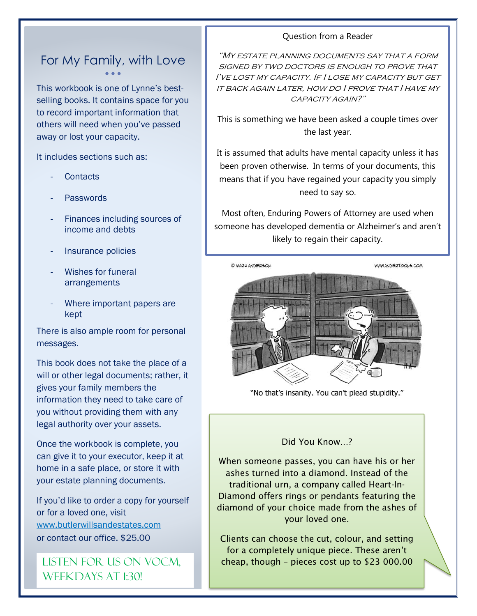# For My Family, with Love  $\bullet$   $\bullet$   $\bullet$

This workbook is one of Lynne's bestselling books. It contains space for you to record important information that others will need when you've passed away or lost your capacity.

It includes sections such as:

- **Contacts**
- **Passwords**
- Finances including sources of income and debts
- Insurance policies
- Wishes for funeral arrangements
- Where important papers are kept

There is also ample room for personal messages.

This book does not take the place of a will or other legal documents; rather, it gives your family members the information they need to take care of you without providing them with any legal authority over your assets.

Once the workbook is complete, you can give it to your executor, keep it at home in a safe place, or store it with your estate planning documents.

If you'd like to order a copy for yourself or for a loved one, visit [www.butlerwillsandestates.com](http://www.butlerwillsandestates.com/) or contact our office. \$25.00

WEEKDAYS AT 1:30!

#### Question from a Reader

"My estate planning documents say that a form SIGNED BY TWO DOCTORS IS ENOUGH TO PROVE THAT I've lost my capacity. If I lose my capacity but get it back again later, how do I prove that I have my capacity again?"

This is something we have been asked a couple times over the last year.

It is assumed that adults have mental capacity unless it has been proven otherwise. In terms of your documents, this means that if you have regained your capacity you simply need to say so.

Most often, Enduring Powers of Attorney are used when someone has developed dementia or Alzheimer's and aren't likely to regain their capacity.



"No that's insanity. You can't plead stupidity."

#### Did You Know…?

When someone passes, you can have his or her ashes turned into a diamond. Instead of the traditional urn, a company called Heart-In-Diamond offers rings or pendants featuring the diamond of your choice made from the ashes of your loved one.

Clients can choose the cut, colour, and setting for a completely unique piece. These aren't LISTEN FOR US ON VOCM,  $\parallel$  cheap, though – pieces cost up to \$23 000.00